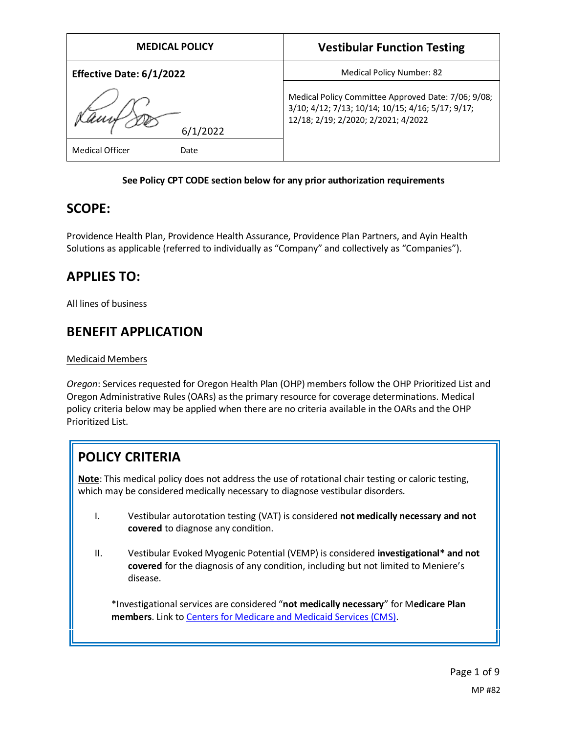| <b>MEDICAL POLICY</b>          | <b>Vestibular Function Testing</b>                                                                                                              |
|--------------------------------|-------------------------------------------------------------------------------------------------------------------------------------------------|
| Effective Date: 6/1/2022       | <b>Medical Policy Number: 82</b>                                                                                                                |
| /2022                          | Medical Policy Committee Approved Date: 7/06; 9/08;<br>3/10; 4/12; 7/13; 10/14; 10/15; 4/16; 5/17; 9/17;<br>12/18; 2/19; 2/2020; 2/2021; 4/2022 |
| <b>Medical Officer</b><br>Date |                                                                                                                                                 |

### **See Policy CPT CODE section below for any prior authorization requirements**

## **SCOPE:**

Providence Health Plan, Providence Health Assurance, Providence Plan Partners, and Ayin Health Solutions as applicable (referred to individually as "Company" and collectively as "Companies").

## **APPLIES TO:**

All lines of business

## **BENEFIT APPLICATION**

### Medicaid Members

*Oregon*: Services requested for Oregon Health Plan (OHP) members follow the OHP Prioritized List and Oregon Administrative Rules (OARs) as the primary resource for coverage determinations. Medical policy criteria below may be applied when there are no criteria available in the OARs and the OHP Prioritized List.

# **POLICY CRITERIA**

**Note**: This medical policy does not address the use of rotational chair testing or caloric testing, which may be considered medically necessary to diagnose vestibular disorders.

- I. Vestibular autorotation testing (VAT) is considered **not medically necessary and not covered** to diagnose any condition.
- II. Vestibular Evoked Myogenic Potential (VEMP) is considered **investigational\* and not covered** for the diagnosis of any condition, including but not limited to Meniere's disease.

\*Investigational services are considered "**not medically necessary**" for M**edicare Plan members**. Link to [Centers for Medicare and Medicaid Services \(CMS\).](#page-6-0)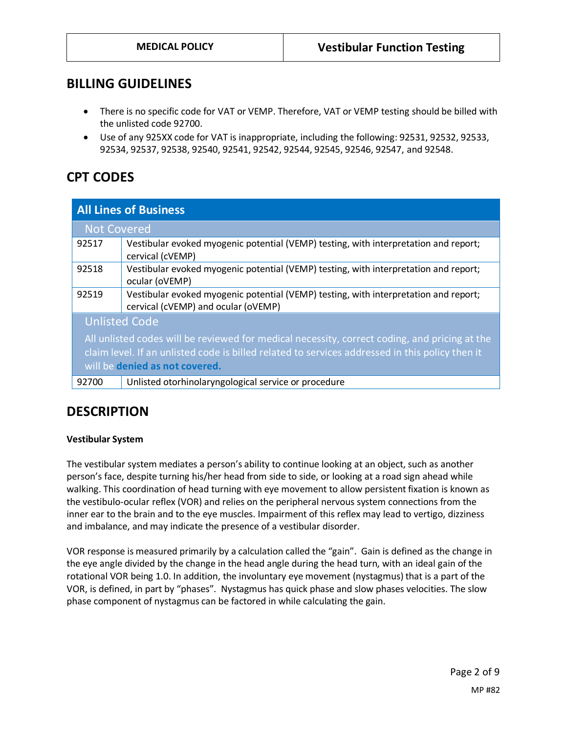## **BILLING GUIDELINES**

- There is no specific code for VAT or VEMP. Therefore, VAT or VEMP testing should be billed with the unlisted code 92700.
- Use of any 925XX code for VAT is inappropriate, including the following: 92531, 92532, 92533, 92534, 92537, 92538, 92540, 92541, 92542, 92544, 92545, 92546, 92547, and 92548.

## **CPT CODES**

| <b>All Lines of Business</b>                                                                                                                                                                                                       |                                                                                                                             |
|------------------------------------------------------------------------------------------------------------------------------------------------------------------------------------------------------------------------------------|-----------------------------------------------------------------------------------------------------------------------------|
| <b>Not Covered</b>                                                                                                                                                                                                                 |                                                                                                                             |
| 92517                                                                                                                                                                                                                              | Vestibular evoked myogenic potential (VEMP) testing, with interpretation and report;<br>cervical (cVEMP)                    |
| 92518                                                                                                                                                                                                                              | Vestibular evoked myogenic potential (VEMP) testing, with interpretation and report;<br>ocular (oVEMP)                      |
| 92519                                                                                                                                                                                                                              | Vestibular evoked myogenic potential (VEMP) testing, with interpretation and report;<br>cervical (cVEMP) and ocular (oVEMP) |
| <b>Unlisted Code</b>                                                                                                                                                                                                               |                                                                                                                             |
| All unlisted codes will be reviewed for medical necessity, correct coding, and pricing at the<br>claim level. If an unlisted code is billed related to services addressed in this policy then it<br>will be denied as not covered. |                                                                                                                             |
| 92700                                                                                                                                                                                                                              | Unlisted otorhinolaryngological service or procedure                                                                        |

## **DESCRIPTION**

#### **Vestibular System**

The vestibular system mediates a person's ability to continue looking at an object, such as another person's face, despite turning his/her head from side to side, or looking at a road sign ahead while walking. This coordination of head turning with eye movement to allow persistent fixation is known as the vestibulo-ocular reflex (VOR) and relies on the peripheral nervous system connections from the inner ear to the brain and to the eye muscles. Impairment of this reflex may lead to vertigo, dizziness and imbalance, and may indicate the presence of a vestibular disorder.

VOR response is measured primarily by a calculation called the "gain". Gain is defined as the change in the eye angle divided by the change in the head angle during the head turn, with an ideal gain of the rotational VOR being 1.0. In addition, the involuntary eye movement (nystagmus) that is a part of the VOR, is defined, in part by "phases". Nystagmus has quick phase and slow phases velocities. The slow phase component of nystagmus can be factored in while calculating the gain.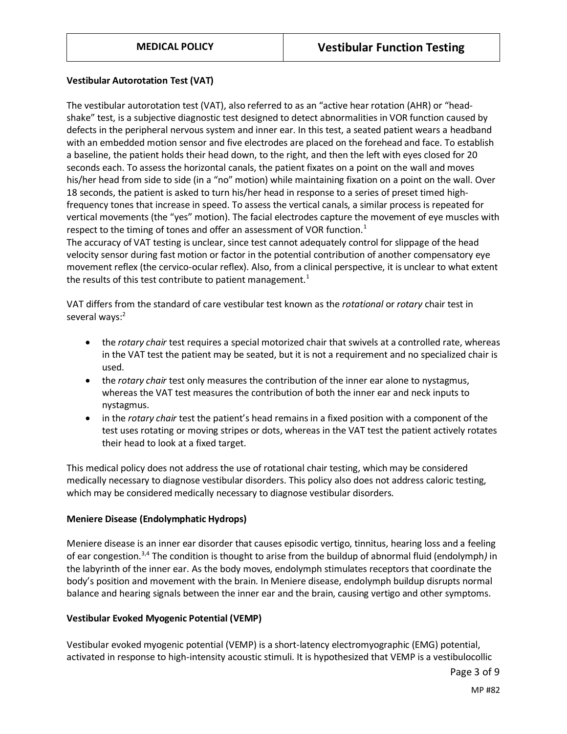#### **Vestibular Autorotation Test (VAT)**

The vestibular autorotation test (VAT), also referred to as an "active hear rotation (AHR) or "headshake" test, is a subjective diagnostic test designed to detect abnormalities in VOR function caused by defects in the peripheral nervous system and inner ear. In this test, a seated patient wears a headband with an embedded motion sensor and five electrodes are placed on the forehead and face. To establish a baseline, the patient holds their head down, to the right, and then the left with eyes closed for 20 seconds each. To assess the horizontal canals, the patient fixates on a point on the wall and moves his/her head from side to side (in a "no" motion) while maintaining fixation on a point on the wall. Over 18 seconds, the patient is asked to turn his/her head in response to a series of preset timed highfrequency tones that increase in speed. To assess the vertical canals, a similar process is repeated for vertical movements (the "yes" motion). The facial electrodes capture the movement of eye muscles with respect to the timing of tones and offer an assessment of VOR function.<sup>1</sup>

The accuracy of VAT testing is unclear, since test cannot adequately control for slippage of the head velocity sensor during fast motion or factor in the potential contribution of another compensatory eye movement reflex (the cervico-ocular reflex). Also, from a clinical perspective, it is unclear to what extent the results of this test contribute to patient management.<sup>1</sup>

VAT differs from the standard of care vestibular test known as the *rotational* or *rotary* chair test in several ways:<sup>2</sup>

- the *rotary chair* test requires a special motorized chair that swivels at a controlled rate, whereas in the VAT test the patient may be seated, but it is not a requirement and no specialized chair is used.
- the *rotary chair* test only measures the contribution of the inner ear alone to nystagmus, whereas the VAT test measures the contribution of both the inner ear and neck inputs to nystagmus.
- in the *rotary chair* test the patient's head remains in a fixed position with a component of the test uses rotating or moving stripes or dots, whereas in the VAT test the patient actively rotates their head to look at a fixed target.

This medical policy does not address the use of rotational chair testing, which may be considered medically necessary to diagnose vestibular disorders. This policy also does not address caloric testing, which may be considered medically necessary to diagnose vestibular disorders.

#### **Meniere Disease (Endolymphatic Hydrops)**

Meniere disease is an inner ear disorder that causes episodic vertigo, tinnitus, hearing loss and a feeling of ear congestion.3,4 The condition is thought to arise from the buildup of abnormal fluid (endolymph*)* in the labyrinth of the inner ear. As the body moves, endolymph stimulates receptors that coordinate the body's position and movement with the brain. In Meniere disease, endolymph buildup disrupts normal balance and hearing signals between the inner ear and the brain, causing vertigo and other symptoms.

#### **Vestibular Evoked Myogenic Potential (VEMP)**

Vestibular evoked myogenic potential (VEMP) is a short-latency electromyographic (EMG) potential, activated in response to high-intensity acoustic stimuli. It is hypothesized that VEMP is a vestibulocollic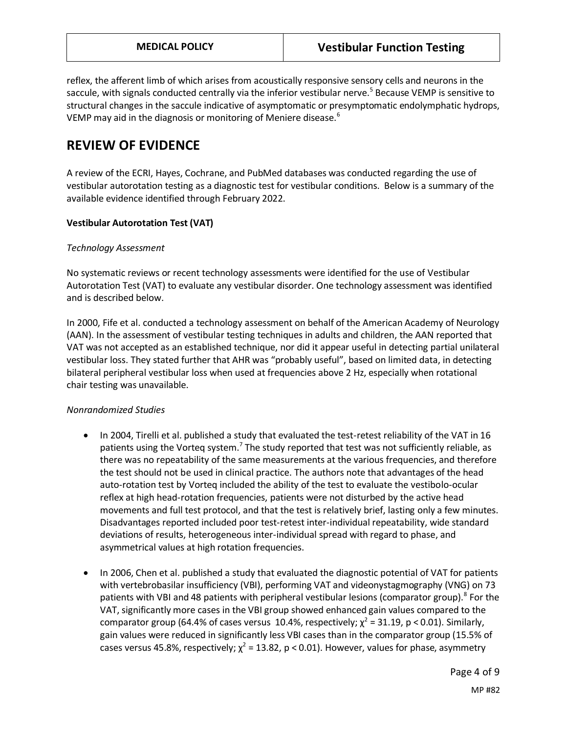reflex, the afferent limb of which arises from acoustically responsive sensory cells and neurons in the saccule, with signals conducted centrally via the inferior vestibular nerve.<sup>5</sup> Because VEMP is sensitive to structural changes in the saccule indicative of asymptomatic or presymptomatic endolymphatic hydrops, VEMP may aid in the diagnosis or monitoring of Meniere disease.<sup>6</sup>

## **REVIEW OF EVIDENCE**

A review of the ECRI, Hayes, Cochrane, and PubMed databases was conducted regarding the use of vestibular autorotation testing as a diagnostic test for vestibular conditions. Below is a summary of the available evidence identified through February 2022.

#### **Vestibular Autorotation Test (VAT)**

#### *Technology Assessment*

No systematic reviews or recent technology assessments were identified for the use of Vestibular Autorotation Test (VAT) to evaluate any vestibular disorder. One technology assessment was identified and is described below.

In 2000, Fife et al. conducted a technology assessment on behalf of the American Academy of Neurology (AAN). In the assessment of vestibular testing techniques in adults and children, the AAN reported that VAT was not accepted as an established technique, nor did it appear useful in detecting partial unilateral vestibular loss. They stated further that AHR was "probably useful", based on limited data, in detecting bilateral peripheral vestibular loss when used at frequencies above 2 Hz, especially when rotational chair testing was unavailable.

### *Nonrandomized Studies*

- In 2004, Tirelli et al. published a study that evaluated the test-retest reliability of the VAT in 16 patients using the Vorteq system.<sup>7</sup> The study reported that test was not sufficiently reliable, as there was no repeatability of the same measurements at the various frequencies, and therefore the test should not be used in clinical practice. The authors note that advantages of the head auto-rotation test by Vorteq included the ability of the test to evaluate the vestibolo-ocular reflex at high head-rotation frequencies, patients were not disturbed by the active head movements and full test protocol, and that the test is relatively brief, lasting only a few minutes. Disadvantages reported included poor test-retest inter-individual repeatability, wide standard deviations of results, heterogeneous inter-individual spread with regard to phase, and asymmetrical values at high rotation frequencies.
- In 2006, Chen et al. published a study that evaluated the diagnostic potential of VAT for patients with vertebrobasilar insufficiency (VBI), performing VAT and videonystagmography (VNG) on 73 patients with VBI and 48 patients with peripheral vestibular lesions (comparator group).<sup>8</sup> For the VAT, significantly more cases in the VBI group showed enhanced gain values compared to the comparator group (64.4% of cases versus 10.4%, respectively;  $\chi^2$  = 31.19, p < 0.01). Similarly, gain values were reduced in significantly less VBI cases than in the comparator group (15.5% of cases versus 45.8%, respectively;  $\chi^2$  = 13.82, p < 0.01). However, values for phase, asymmetry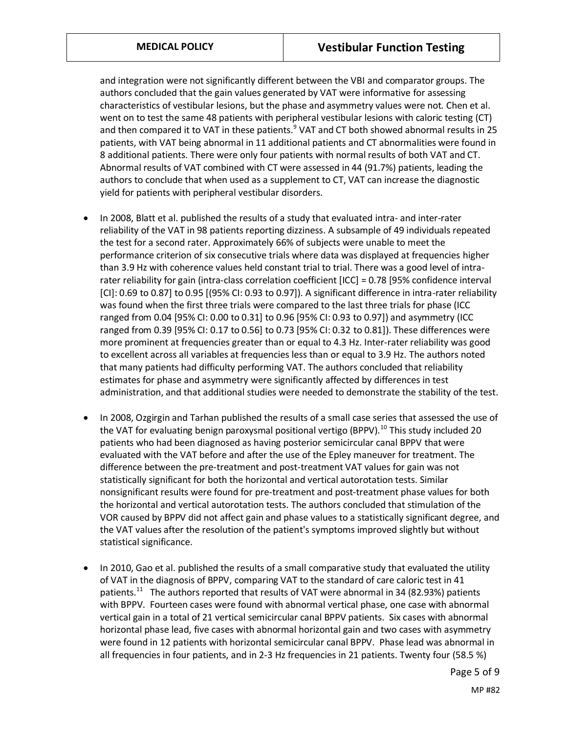and integration were not significantly different between the VBI and comparator groups. The authors concluded that the gain values generated by VAT were informative for assessing characteristics of vestibular lesions, but the phase and asymmetry values were not. Chen et al. went on to test the same 48 patients with peripheral vestibular lesions with caloric testing (CT) and then compared it to VAT in these patients. $9$  VAT and CT both showed abnormal results in 25 patients, with VAT being abnormal in 11 additional patients and CT abnormalities were found in 8 additional patients. There were only four patients with normal results of both VAT and CT. Abnormal results of VAT combined with CT were assessed in 44 (91.7%) patients, leading the authors to conclude that when used as a supplement to CT, VAT can increase the diagnostic yield for patients with peripheral vestibular disorders.

- In 2008, Blatt et al. published the results of a study that evaluated intra- and inter-rater reliability of the VAT in 98 patients reporting dizziness. A subsample of 49 individuals repeated the test for a second rater. Approximately 66% of subjects were unable to meet the performance criterion of six consecutive trials where data was displayed at frequencies higher than 3.9 Hz with coherence values held constant trial to trial. There was a good level of intrarater reliability for gain (intra-class correlation coefficient [ICC] = 0.78 [95% confidence interval [CI]: 0.69 to 0.87] to 0.95 [(95% CI: 0.93 to 0.97]). A significant difference in intra-rater reliability was found when the first three trials were compared to the last three trials for phase (ICC ranged from 0.04 [95% CI: 0.00 to 0.31] to 0.96 [95% CI: 0.93 to 0.97]) and asymmetry (ICC ranged from 0.39 [95% CI: 0.17 to 0.56] to 0.73 [95% CI: 0.32 to 0.81]). These differences were more prominent at frequencies greater than or equal to 4.3 Hz. Inter-rater reliability was good to excellent across all variables at frequencies less than or equal to 3.9 Hz. The authors noted that many patients had difficulty performing VAT. The authors concluded that reliability estimates for phase and asymmetry were significantly affected by differences in test administration, and that additional studies were needed to demonstrate the stability of the test.
- In 2008, Ozgirgin and Tarhan published the results of a small case series that assessed the use of the VAT for evaluating benign paroxysmal positional vertigo (BPPV).<sup>10</sup> This study included 20 patients who had been diagnosed as having posterior semicircular canal BPPV that were evaluated with the VAT before and after the use of the Epley maneuver for treatment. The difference between the pre-treatment and post-treatment VAT values for gain was not statistically significant for both the horizontal and vertical autorotation tests. Similar nonsignificant results were found for pre-treatment and post-treatment phase values for both the horizontal and vertical autorotation tests. The authors concluded that stimulation of the VOR caused by BPPV did not affect gain and phase values to a statistically significant degree, and the VAT values after the resolution of the patient's symptoms improved slightly but without statistical significance.
- In 2010, Gao et al. published the results of a small comparative study that evaluated the utility of VAT in the diagnosis of BPPV, comparing VAT to the standard of care caloric test in 41 patients.<sup>11</sup> The authors reported that results of VAT were abnormal in 34 (82.93%) patients with BPPV. Fourteen cases were found with abnormal vertical phase, one case with abnormal vertical gain in a total of 21 vertical semicircular canal BPPV patients. Six cases with abnormal horizontal phase lead, five cases with abnormal horizontal gain and two cases with asymmetry were found in 12 patients with horizontal semicircular canal BPPV. Phase lead was abnormal in all frequencies in four patients, and in 2-3 Hz frequencies in 21 patients. Twenty four (58.5 %)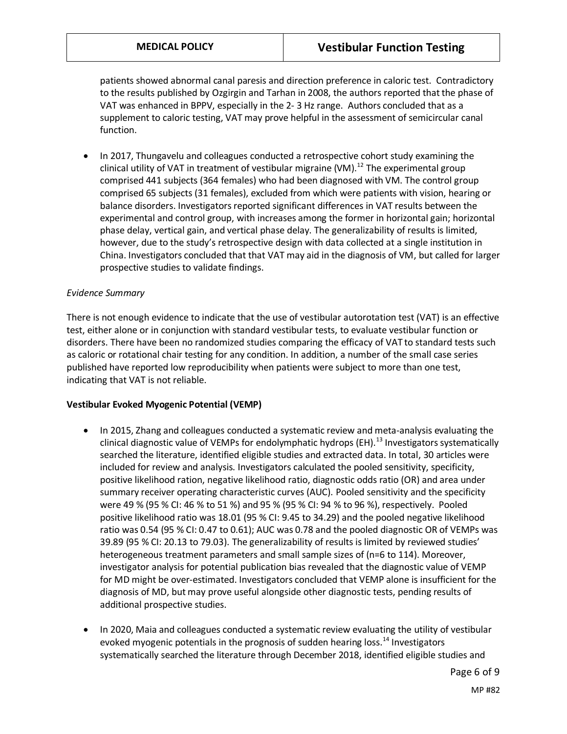patients showed abnormal canal paresis and direction preference in caloric test. Contradictory to the results published by Ozgirgin and Tarhan in 2008, the authors reported that the phase of VAT was enhanced in BPPV, especially in the 2- 3 Hz range. Authors concluded that as a supplement to caloric testing, VAT may prove helpful in the assessment of semicircular canal function.

• In 2017, Thungavelu and colleagues conducted a retrospective cohort study examining the clinical utility of VAT in treatment of vestibular migraine (VM).<sup>12</sup> The experimental group comprised 441 subjects (364 females) who had been diagnosed with VM. The control group comprised 65 subjects (31 females), excluded from which were patients with vision, hearing or balance disorders. Investigators reported significant differences in VAT results between the experimental and control group, with increases among the former in horizontal gain; horizontal phase delay, vertical gain, and vertical phase delay. The generalizability of results is limited, however, due to the study's retrospective design with data collected at a single institution in China. Investigators concluded that that VAT may aid in the diagnosis of VM, but called for larger prospective studies to validate findings.

#### *Evidence Summary*

There is not enough evidence to indicate that the use of vestibular autorotation test (VAT) is an effective test, either alone or in conjunction with standard vestibular tests, to evaluate vestibular function or disorders. There have been no randomized studies comparing the efficacy of VAT to standard tests such as caloric or rotational chair testing for any condition. In addition, a number of the small case series published have reported low reproducibility when patients were subject to more than one test, indicating that VAT is not reliable.

#### **Vestibular Evoked Myogenic Potential (VEMP)**

- In 2015, Zhang and colleagues conducted a systematic review and meta-analysis evaluating the clinical diagnostic value of VEMPs for endolymphatic hydrops (EH).<sup>13</sup> Investigators systematically searched the literature, identified eligible studies and extracted data. In total, 30 articles were included for review and analysis. Investigators calculated the pooled sensitivity, specificity, positive likelihood ration, negative likelihood ratio, diagnostic odds ratio (OR) and area under summary receiver operating characteristic curves (AUC). Pooled sensitivity and the specificity were 49 % (95 % CI: 46 % to 51 %) and 95 % (95 % CI: 94 % to 96 %), respectively. Pooled positive likelihood ratio was 18.01 (95 % CI: 9.45 to 34.29) and the pooled negative likelihood ratio was 0.54 (95 % CI: 0.47 to 0.61); AUC was 0.78 and the pooled diagnostic OR of VEMPs was 39.89 (95 % CI: 20.13 to 79.03). The generalizability of results is limited by reviewed studies' heterogeneous treatment parameters and small sample sizes of (n=6 to 114). Moreover, investigator analysis for potential publication bias revealed that the diagnostic value of VEMP for MD might be over-estimated. Investigators concluded that VEMP alone is insufficient for the diagnosis of MD, but may prove useful alongside other diagnostic tests, pending results of additional prospective studies.
- In 2020, Maia and colleagues conducted a systematic review evaluating the utility of vestibular evoked myogenic potentials in the prognosis of sudden hearing loss.<sup>14</sup> Investigators systematically searched the literature through December 2018, identified eligible studies and

Page 6 of 9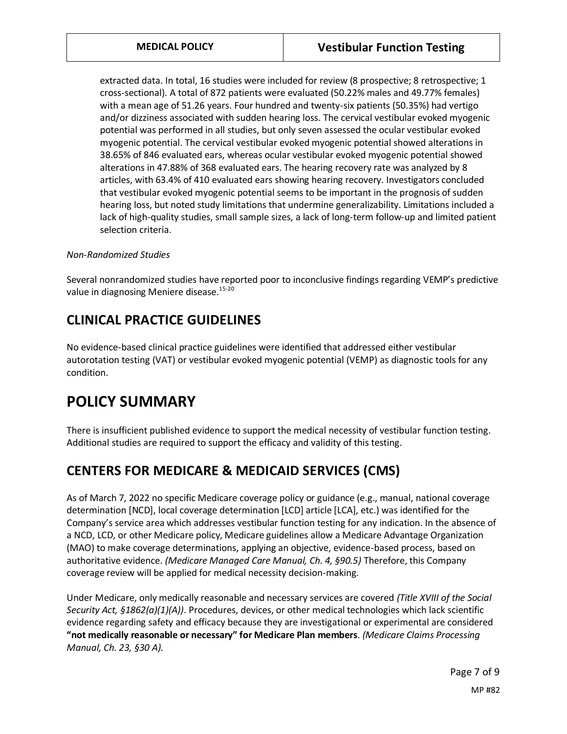extracted data. In total, 16 studies were included for review (8 prospective; 8 retrospective; 1 cross-sectional). A total of 872 patients were evaluated (50.22% males and 49.77% females) with a mean age of 51.26 years. Four hundred and twenty-six patients (50.35%) had vertigo and/or dizziness associated with sudden hearing loss. The cervical vestibular evoked myogenic potential was performed in all studies, but only seven assessed the ocular vestibular evoked myogenic potential. The cervical vestibular evoked myogenic potential showed alterations in 38.65% of 846 evaluated ears, whereas ocular vestibular evoked myogenic potential showed alterations in 47.88% of 368 evaluated ears. The hearing recovery rate was analyzed by 8 articles, with 63.4% of 410 evaluated ears showing hearing recovery. Investigators concluded that vestibular evoked myogenic potential seems to be important in the prognosis of sudden hearing loss, but noted study limitations that undermine generalizability. Limitations included a lack of high-quality studies, small sample sizes, a lack of long-term follow-up and limited patient selection criteria.

#### *Non-Randomized Studies*

Several nonrandomized studies have reported poor to inconclusive findings regarding VEMP's predictive value in diagnosing Meniere disease. 15-20

## **CLINICAL PRACTICE GUIDELINES**

No evidence-based clinical practice guidelines were identified that addressed either vestibular autorotation testing (VAT) or vestibular evoked myogenic potential (VEMP) as diagnostic tools for any condition.

# **POLICY SUMMARY**

There is insufficient published evidence to support the medical necessity of vestibular function testing. Additional studies are required to support the efficacy and validity of this testing.

## <span id="page-6-0"></span>**CENTERS FOR MEDICARE & MEDICAID SERVICES (CMS)**

As of March 7, 2022 no specific Medicare coverage policy or guidance (e.g., manual, national coverage determination [NCD], local coverage determination [LCD] article [LCA], etc.) was identified for the Company's service area which addresses vestibular function testing for any indication. In the absence of a NCD, LCD, or other Medicare policy, Medicare guidelines allow a Medicare Advantage Organization (MAO) to make coverage determinations, applying an objective, evidence-based process, based on authoritative evidence. *(Medicare Managed Care Manual, Ch. 4, §90.5)* Therefore, this Company coverage review will be applied for medical necessity decision-making.

Under Medicare, only medically reasonable and necessary services are covered *(Title XVIII of the Social Security Act, §1862(a)(1)(A))*. Procedures, devices, or other medical technologies which lack scientific evidence regarding safety and efficacy because they are investigational or experimental are considered **"not medically reasonable or necessary" for Medicare Plan members**. *(Medicare Claims Processing Manual, Ch. 23, §30 A).*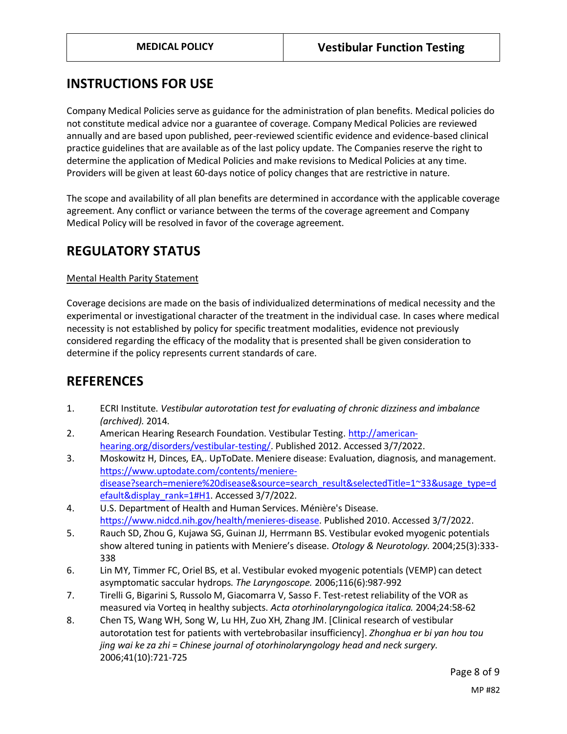## **INSTRUCTIONS FOR USE**

Company Medical Policies serve as guidance for the administration of plan benefits. Medical policies do not constitute medical advice nor a guarantee of coverage. Company Medical Policies are reviewed annually and are based upon published, peer-reviewed scientific evidence and evidence-based clinical practice guidelines that are available as of the last policy update. The Companies reserve the right to determine the application of Medical Policies and make revisions to Medical Policies at any time. Providers will be given at least 60-days notice of policy changes that are restrictive in nature.

The scope and availability of all plan benefits are determined in accordance with the applicable coverage agreement. Any conflict or variance between the terms of the coverage agreement and Company Medical Policy will be resolved in favor of the coverage agreement.

## **REGULATORY STATUS**

#### Mental Health Parity Statement

Coverage decisions are made on the basis of individualized determinations of medical necessity and the experimental or investigational character of the treatment in the individual case. In cases where medical necessity is not established by policy for specific treatment modalities, evidence not previously considered regarding the efficacy of the modality that is presented shall be given consideration to determine if the policy represents current standards of care.

## **REFERENCES**

- 1. ECRI Institute. *Vestibular autorotation test for evaluating of chronic dizziness and imbalance (archived).* 2014.
- 2. American Hearing Research Foundation. Vestibular Testing. [http://american](http://american-hearing.org/disorders/vestibular-testing/)[hearing.org/disorders/vestibular-testing/.](http://american-hearing.org/disorders/vestibular-testing/) Published 2012. Accessed 3/7/2022.
- 3. Moskowitz H, Dinces, EA,. UpToDate. Meniere disease: Evaluation, diagnosis, and management. [https://www.uptodate.com/contents/meniere](https://www.uptodate.com/contents/meniere-disease?search=meniere%20disease&source=search_result&selectedTitle=1~33&usage_type=default&display_rank=1#H1)[disease?search=meniere%20disease&source=search\\_result&selectedTitle=1~33&usage\\_type=d](https://www.uptodate.com/contents/meniere-disease?search=meniere%20disease&source=search_result&selectedTitle=1~33&usage_type=default&display_rank=1#H1) [efault&display\\_rank=1#H1.](https://www.uptodate.com/contents/meniere-disease?search=meniere%20disease&source=search_result&selectedTitle=1~33&usage_type=default&display_rank=1#H1) Accessed 3/7/2022.
- 4. U.S. Department of Health and Human Services. Ménière's Disease. [https://www.nidcd.nih.gov/health/menieres-disease.](https://www.nidcd.nih.gov/health/menieres-disease) Published 2010. Accessed 3/7/2022.
- 5. Rauch SD, Zhou G, Kujawa SG, Guinan JJ, Herrmann BS. Vestibular evoked myogenic potentials show altered tuning in patients with Meniere's disease. *Otology & Neurotology.* 2004;25(3):333- 338
- 6. Lin MY, Timmer FC, Oriel BS, et al. Vestibular evoked myogenic potentials (VEMP) can detect asymptomatic saccular hydrops. *The Laryngoscope.* 2006;116(6):987-992
- 7. Tirelli G, Bigarini S, Russolo M, Giacomarra V, Sasso F. Test-retest reliability of the VOR as measured via Vorteq in healthy subjects. *Acta otorhinolaryngologica italica.* 2004;24:58-62
- 8. Chen TS, Wang WH, Song W, Lu HH, Zuo XH, Zhang JM. [Clinical research of vestibular autorotation test for patients with vertebrobasilar insufficiency]. *Zhonghua er bi yan hou tou jing wai ke za zhi = Chinese journal of otorhinolaryngology head and neck surgery.*  2006;41(10):721-725